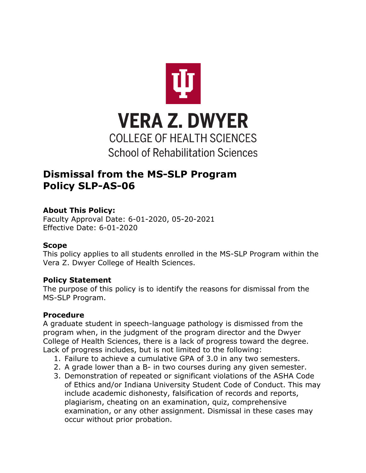

# **Dismissal from the MS-SLP Program Policy SLP-AS-06**

# **About This Policy:**

Faculty Approval Date: 6-01-2020, 05-20-2021 Effective Date: 6-01-2020

### **Scope**

This policy applies to all students enrolled in the MS-SLP Program within the Vera Z. Dwyer College of Health Sciences.

# **Policy Statement**

The purpose of this policy is to identify the reasons for dismissal from the MS-SLP Program.

# **Procedure**

A graduate student in speech-language pathology is dismissed from the program when, in the judgment of the program director and the Dwyer College of Health Sciences, there is a lack of progress toward the degree. Lack of progress includes, but is not limited to the following:

- 1. Failure to achieve a cumulative GPA of 3.0 in any two semesters.
- 2. A grade lower than a B- in two courses during any given semester.
- 3. Demonstration of repeated or significant violations of the ASHA Code of Ethics and/or Indiana University Student Code of Conduct. This may include academic dishonesty, falsification of records and reports, plagiarism, cheating on an examination, quiz, comprehensive examination, or any other assignment. Dismissal in these cases may occur without prior probation.